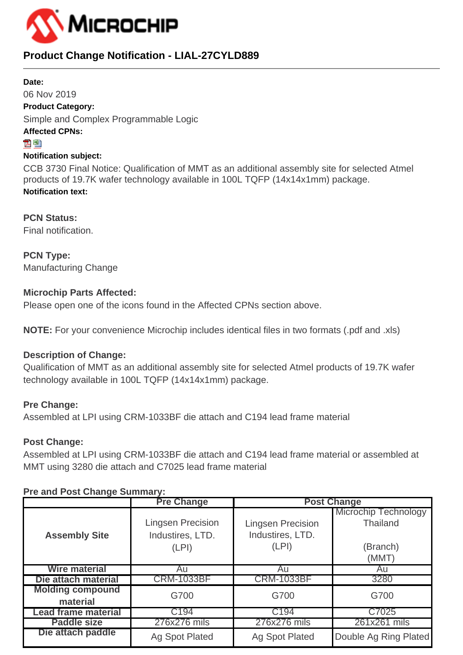

# **Product Change Notification - LIAL-27CYLD889**

#### **Date:**

06 Nov 2019 **Product Category:** Simple and Complex Programmable Logic **Affected CPNs:**

#### 지점

#### **Notification subject:**

CCB 3730 Final Notice: Qualification of MMT as an additional assembly site for selected Atmel products of 19.7K wafer technology available in 100L TQFP (14x14x1mm) package. **Notification text:**

**PCN Status:** Final notification.

**PCN Type:** Manufacturing Change

# **Microchip Parts Affected:**

Please open one of the icons found in the Affected CPNs section above.

**NOTE:** For your convenience Microchip includes identical files in two formats (.pdf and .xls)

# **Description of Change:**

Qualification of MMT as an additional assembly site for selected Atmel products of 19.7K wafer technology available in 100L TQFP (14x14x1mm) package.

# **Pre Change:**

Assembled at LPI using CRM-1033BF die attach and C194 lead frame material

# **Post Change:**

Assembled at LPI using CRM-1033BF die attach and C194 lead frame material or assembled at MMT using 3280 die attach and C7025 lead frame material

# **Pre and Post Change Summary:**

|                            | <b>Pre Change</b>        | <b>Post Change</b>       |                       |  |  |  |  |
|----------------------------|--------------------------|--------------------------|-----------------------|--|--|--|--|
|                            |                          |                          | Microchip Technology  |  |  |  |  |
| <b>Assembly Site</b>       | <b>Lingsen Precision</b> | <b>Lingsen Precision</b> | <b>Thailand</b>       |  |  |  |  |
|                            | Industires, LTD.         | Industires, LTD.         |                       |  |  |  |  |
|                            | (LPI)                    | (LPI)                    | (Branch)              |  |  |  |  |
|                            |                          |                          | (MMT)                 |  |  |  |  |
| <b>Wire material</b>       | Au                       | Au                       | Au                    |  |  |  |  |
| Die attach material        | <b>CRM-1033BF</b>        | <b>CRM-1033BF</b>        | 3280                  |  |  |  |  |
| <b>Molding compound</b>    | G700                     | G700                     | G700                  |  |  |  |  |
| material                   |                          |                          |                       |  |  |  |  |
| <b>Lead frame material</b> | C194                     | C194                     | C7025                 |  |  |  |  |
| <b>Paddle size</b>         | 276x276 mils             | 276x276 mils             | 261x261 mils          |  |  |  |  |
| Die attach paddle          | <b>Ag Spot Plated</b>    | <b>Ag Spot Plated</b>    | Double Ag Ring Plated |  |  |  |  |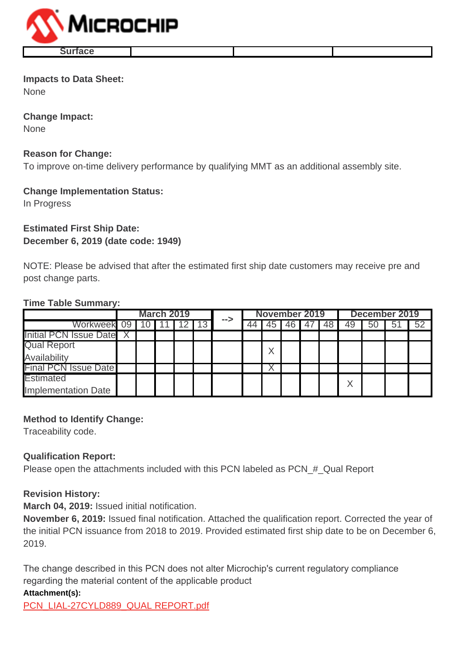

#### **Impacts to Data Sheet:** None

**Change Impact:**

None

#### **Reason for Change:**

To improve on-time delivery performance by qualifying MMT as an additional assembly site.

#### **Change Implementation Status:**

In Progress

# **Estimated First Ship Date: December 6, 2019 (date code: 1949)**

NOTE: Please be advised that after the estimated first ship date customers may receive pre and post change parts.

#### **Time Table Summary:**

|                             | <b>March 2019</b> |  |  |  |  | November 2019 |  |    |      | December 2019 |    |    |    |    |                 |
|-----------------------------|-------------------|--|--|--|--|---------------|--|----|------|---------------|----|----|----|----|-----------------|
| Workweek 09                 |                   |  |  |  |  | -->           |  | 45 | 46 I |               | 48 | 49 | 50 | 51 | $\overline{52}$ |
| Initial PCN Issue Date X    |                   |  |  |  |  |               |  |    |      |               |    |    |    |    |                 |
| <b>Qual Report</b>          |                   |  |  |  |  |               |  |    |      |               |    |    |    |    |                 |
| Availability                |                   |  |  |  |  |               |  |    |      |               |    |    |    |    |                 |
| <b>Final PCN Issue Date</b> |                   |  |  |  |  |               |  |    |      |               |    |    |    |    |                 |
| <b>Estimated</b>            |                   |  |  |  |  |               |  |    |      |               |    |    |    |    |                 |
| <b>Implementation Date</b>  |                   |  |  |  |  |               |  |    |      |               |    |    |    |    |                 |

# **Method to Identify Change:**

Traceability code.

# **Qualification Report:**

Please open the attachments included with this PCN labeled as PCN # Qual Report

# **Revision History:**

**March 04, 2019:** Issued initial notification.

**November 6, 2019:** Issued final notification. Attached the qualification report. Corrected the year of the initial PCN issuance from 2018 to 2019. Provided estimated first ship date to be on December 6, 2019.

The change described in this PCN does not alter Microchip's current regulatory compliance regarding the material content of the applicable product

#### **Attachment(s):**

[PCN\\_LIAL-27CYLD889\\_QUAL REPORT.pdf](https://www.microchip.com/mymicrochip/NotificationDetails.aspx?id=13372&file=PCN_LIAL-27CYLD889_QUAL REPORT.pdf)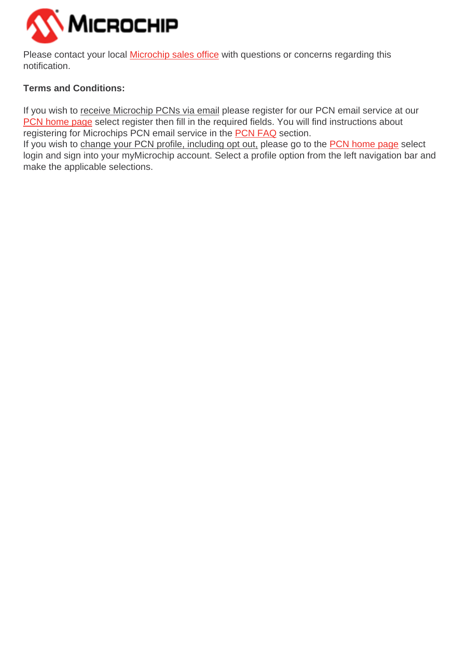

Please contact your local **[Microchip sales office](http://www.microchip.com/distributors/SalesHome.aspx)** with questions or concerns regarding this notification.

# **Terms and Conditions:**

If you wish to receive Microchip PCNs via email please register for our PCN email service at our [PCN home page](http://www.microchip.com/pcn) select register then fill in the required fields. You will find instructions about registering for Microchips PCN email service in the [PCN FAQ](http://www.microchip.com/pcn/faqs) section.

If you wish to change your PCN profile, including opt out, please go to the [PCN home page](http://www.microchip.com/pcn) select login and sign into your myMicrochip account. Select a profile option from the left navigation bar and make the applicable selections.